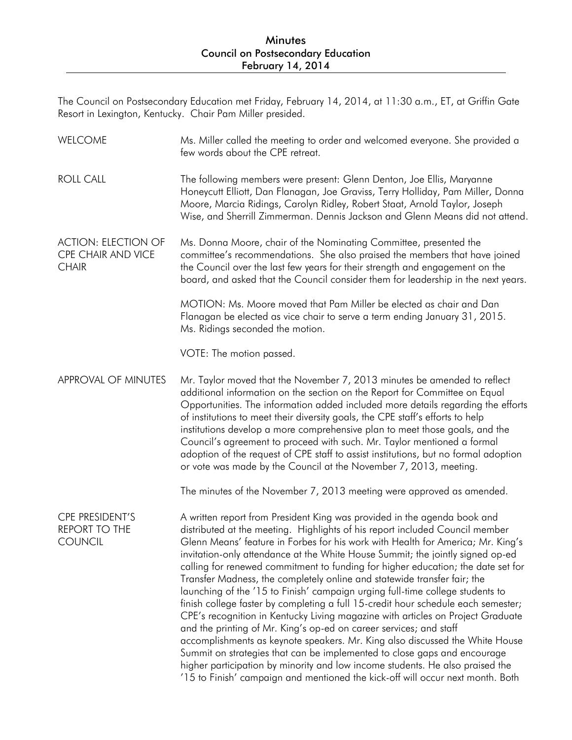## Minutes Council on Postsecondary Education February 14, 2014

The Council on Postsecondary Education met Friday, February 14, 2014, at 11:30 a.m., ET, at Griffin Gate Resort in Lexington, Kentucky. Chair Pam Miller presided.

| <b>WELCOME</b>                                                   | Ms. Miller called the meeting to order and welcomed everyone. She provided a<br>few words about the CPE retreat.                                                                                                                                                                                                                                                                                                                                                                                                                                                                                                                                                                                                                                                                                                                                                                                                                                                                                                                                                                                                                                            |
|------------------------------------------------------------------|-------------------------------------------------------------------------------------------------------------------------------------------------------------------------------------------------------------------------------------------------------------------------------------------------------------------------------------------------------------------------------------------------------------------------------------------------------------------------------------------------------------------------------------------------------------------------------------------------------------------------------------------------------------------------------------------------------------------------------------------------------------------------------------------------------------------------------------------------------------------------------------------------------------------------------------------------------------------------------------------------------------------------------------------------------------------------------------------------------------------------------------------------------------|
| <b>ROLL CALL</b>                                                 | The following members were present: Glenn Denton, Joe Ellis, Maryanne<br>Honeycutt Elliott, Dan Flanagan, Joe Graviss, Terry Holliday, Pam Miller, Donna<br>Moore, Marcia Ridings, Carolyn Ridley, Robert Staat, Arnold Taylor, Joseph<br>Wise, and Sherrill Zimmerman. Dennis Jackson and Glenn Means did not attend.                                                                                                                                                                                                                                                                                                                                                                                                                                                                                                                                                                                                                                                                                                                                                                                                                                      |
| <b>ACTION: ELECTION OF</b><br>CPE CHAIR AND VICE<br><b>CHAIR</b> | Ms. Donna Moore, chair of the Nominating Committee, presented the<br>committee's recommendations. She also praised the members that have joined<br>the Council over the last few years for their strength and engagement on the<br>board, and asked that the Council consider them for leadership in the next years.                                                                                                                                                                                                                                                                                                                                                                                                                                                                                                                                                                                                                                                                                                                                                                                                                                        |
|                                                                  | MOTION: Ms. Moore moved that Pam Miller be elected as chair and Dan<br>Flanagan be elected as vice chair to serve a term ending January 31, 2015.<br>Ms. Ridings seconded the motion.                                                                                                                                                                                                                                                                                                                                                                                                                                                                                                                                                                                                                                                                                                                                                                                                                                                                                                                                                                       |
|                                                                  | VOTE: The motion passed.                                                                                                                                                                                                                                                                                                                                                                                                                                                                                                                                                                                                                                                                                                                                                                                                                                                                                                                                                                                                                                                                                                                                    |
| APPROVAL OF MINUTES                                              | Mr. Taylor moved that the November 7, 2013 minutes be amended to reflect<br>additional information on the section on the Report for Committee on Equal<br>Opportunities. The information added included more details regarding the efforts<br>of institutions to meet their diversity goals, the CPE staff's efforts to help<br>institutions develop a more comprehensive plan to meet those goals, and the<br>Council's agreement to proceed with such. Mr. Taylor mentioned a formal<br>adoption of the request of CPE staff to assist institutions, but no formal adoption<br>or vote was made by the Council at the November 7, 2013, meeting.                                                                                                                                                                                                                                                                                                                                                                                                                                                                                                          |
|                                                                  | The minutes of the November 7, 2013 meeting were approved as amended.                                                                                                                                                                                                                                                                                                                                                                                                                                                                                                                                                                                                                                                                                                                                                                                                                                                                                                                                                                                                                                                                                       |
| CPE PRESIDENT'S<br><b>REPORT TO THE</b><br><b>COUNCIL</b>        | A written report from President King was provided in the agenda book and<br>distributed at the meeting. Highlights of his report included Council member<br>Glenn Means' feature in Forbes for his work with Health for America; Mr. King's<br>invitation-only attendance at the White House Summit; the jointly signed op-ed<br>calling for renewed commitment to funding for higher education; the date set for<br>Transfer Madness, the completely online and statewide transfer fair; the<br>launching of the '15 to Finish' campaign urging full-time college students to<br>finish college faster by completing a full 15-credit hour schedule each semester;<br>CPE's recognition in Kentucky Living magazine with articles on Project Graduate<br>and the printing of Mr. King's op-ed on career services; and staff<br>accomplishments as keynote speakers. Mr. King also discussed the White House<br>Summit on strategies that can be implemented to close gaps and encourage<br>higher participation by minority and low income students. He also praised the<br>'15 to Finish' campaign and mentioned the kick-off will occur next month. Both |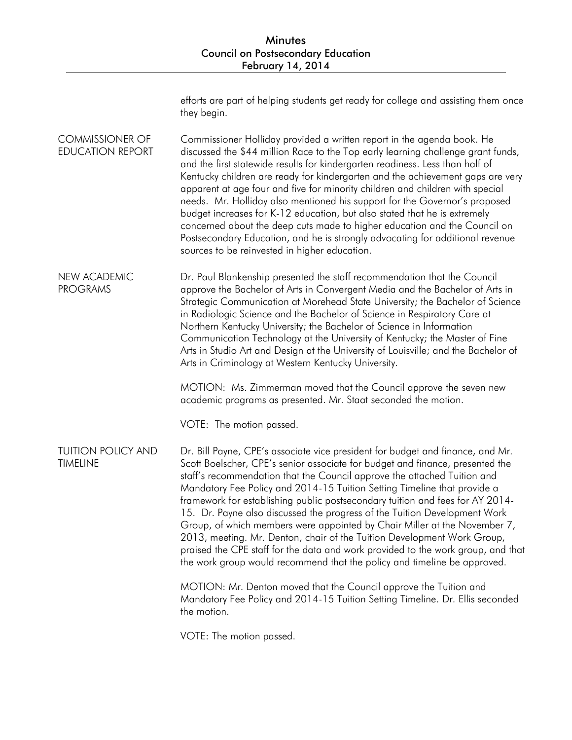| efforts are part of helping students get ready for college and assisting them once |  |
|------------------------------------------------------------------------------------|--|
| they begin.                                                                        |  |

COMMISSIONER OF EDUCATION REPORT Commissioner Holliday provided a written report in the agenda book. He discussed the \$44 million Race to the Top early learning challenge grant funds, and the first statewide results for kindergarten readiness. Less than half of Kentucky children are ready for kindergarten and the achievement gaps are very apparent at age four and five for minority children and children with special needs. Mr. Holliday also mentioned his support for the Governor's proposed budget increases for K-12 education, but also stated that he is extremely concerned about the deep cuts made to higher education and the Council on Postsecondary Education, and he is strongly advocating for additional revenue sources to be reinvested in higher education.

NEW ACADEMIC PROGRAMS Dr. Paul Blankenship presented the staff recommendation that the Council approve the Bachelor of Arts in Convergent Media and the Bachelor of Arts in Strategic Communication at Morehead State University; the Bachelor of Science in Radiologic Science and the Bachelor of Science in Respiratory Care at Northern Kentucky University; the Bachelor of Science in Information Communication Technology at the University of Kentucky; the Master of Fine Arts in Studio Art and Design at the University of Louisville; and the Bachelor of Arts in Criminology at Western Kentucky University.

> MOTION: Ms. Zimmerman moved that the Council approve the seven new academic programs as presented. Mr. Staat seconded the motion.

VOTE: The motion passed.

TUITION POLICY AND TIMELINE Dr. Bill Payne, CPE's associate vice president for budget and finance, and Mr. Scott Boelscher, CPE's senior associate for budget and finance, presented the staff's recommendation that the Council approve the attached Tuition and Mandatory Fee Policy and 2014-15 Tuition Setting Timeline that provide a framework for establishing public postsecondary tuition and fees for AY 2014- 15. Dr. Payne also discussed the progress of the Tuition Development Work Group, of which members were appointed by Chair Miller at the November 7, 2013, meeting. Mr. Denton, chair of the Tuition Development Work Group, praised the CPE staff for the data and work provided to the work group, and that the work group would recommend that the policy and timeline be approved.

> MOTION: Mr. Denton moved that the Council approve the Tuition and Mandatory Fee Policy and 2014-15 Tuition Setting Timeline. Dr. Ellis seconded the motion.

VOTE: The motion passed.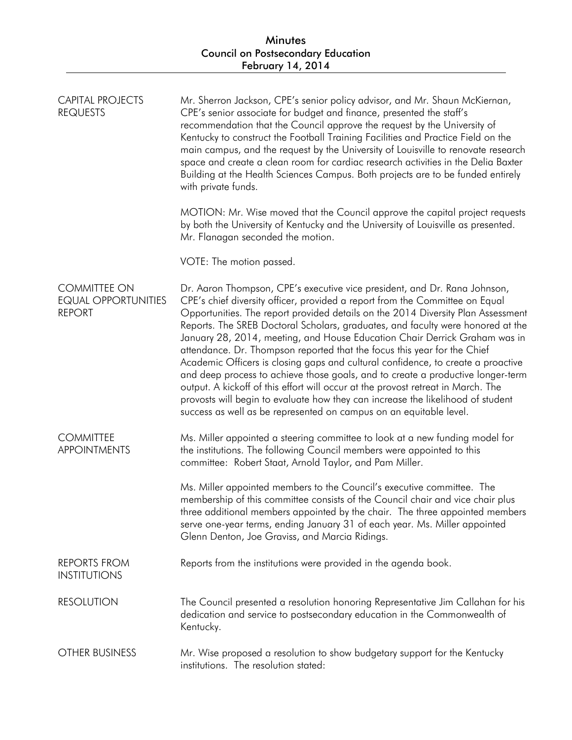| CAPITAL PROJECTS<br><b>REQUESTS</b>                                | Mr. Sherron Jackson, CPE's senior policy advisor, and Mr. Shaun McKiernan,<br>CPE's senior associate for budget and finance, presented the staff's<br>recommendation that the Council approve the request by the University of<br>Kentucky to construct the Football Training Facilities and Practice Field on the<br>main campus, and the request by the University of Louisville to renovate research<br>space and create a clean room for cardiac research activities in the Delia Baxter<br>Building at the Health Sciences Campus. Both projects are to be funded entirely<br>with private funds.<br>MOTION: Mr. Wise moved that the Council approve the capital project requests<br>by both the University of Kentucky and the University of Louisville as presented.<br>Mr. Flanagan seconded the motion.                                                                                               |
|--------------------------------------------------------------------|----------------------------------------------------------------------------------------------------------------------------------------------------------------------------------------------------------------------------------------------------------------------------------------------------------------------------------------------------------------------------------------------------------------------------------------------------------------------------------------------------------------------------------------------------------------------------------------------------------------------------------------------------------------------------------------------------------------------------------------------------------------------------------------------------------------------------------------------------------------------------------------------------------------|
|                                                                    | VOTE: The motion passed.                                                                                                                                                                                                                                                                                                                                                                                                                                                                                                                                                                                                                                                                                                                                                                                                                                                                                       |
| <b>COMMITTEE ON</b><br><b>EQUAL OPPORTUNITIES</b><br><b>REPORT</b> | Dr. Aaron Thompson, CPE's executive vice president, and Dr. Rana Johnson,<br>CPE's chief diversity officer, provided a report from the Committee on Equal<br>Opportunities. The report provided details on the 2014 Diversity Plan Assessment<br>Reports. The SREB Doctoral Scholars, graduates, and faculty were honored at the<br>January 28, 2014, meeting, and House Education Chair Derrick Graham was in<br>attendance. Dr. Thompson reported that the focus this year for the Chief<br>Academic Officers is closing gaps and cultural confidence, to create a proactive<br>and deep process to achieve those goals, and to create a productive longer-term<br>output. A kickoff of this effort will occur at the provost retreat in March. The<br>provosts will begin to evaluate how they can increase the likelihood of student<br>success as well as be represented on campus on an equitable level. |
| <b>COMMITTEE</b><br><b>APPOINTMENTS</b>                            | Ms. Miller appointed a steering committee to look at a new funding model for<br>the institutions. The following Council members were appointed to this<br>committee: Robert Staat, Arnold Taylor, and Pam Miller.                                                                                                                                                                                                                                                                                                                                                                                                                                                                                                                                                                                                                                                                                              |
|                                                                    | Ms. Miller appointed members to the Council's executive committee. The<br>membership of this committee consists of the Council chair and vice chair plus<br>three additional members appointed by the chair. The three appointed members<br>serve one-year terms, ending January 31 of each year. Ms. Miller appointed<br>Glenn Denton, Joe Graviss, and Marcia Ridings.                                                                                                                                                                                                                                                                                                                                                                                                                                                                                                                                       |
| <b>REPORTS FROM</b><br><b>INSTITUTIONS</b>                         | Reports from the institutions were provided in the agenda book.                                                                                                                                                                                                                                                                                                                                                                                                                                                                                                                                                                                                                                                                                                                                                                                                                                                |
| <b>RESOLUTION</b>                                                  | The Council presented a resolution honoring Representative Jim Callahan for his<br>dedication and service to postsecondary education in the Commonwealth of<br>Kentucky.                                                                                                                                                                                                                                                                                                                                                                                                                                                                                                                                                                                                                                                                                                                                       |
| <b>OTHER BUSINESS</b>                                              | Mr. Wise proposed a resolution to show budgetary support for the Kentucky<br>institutions. The resolution stated:                                                                                                                                                                                                                                                                                                                                                                                                                                                                                                                                                                                                                                                                                                                                                                                              |